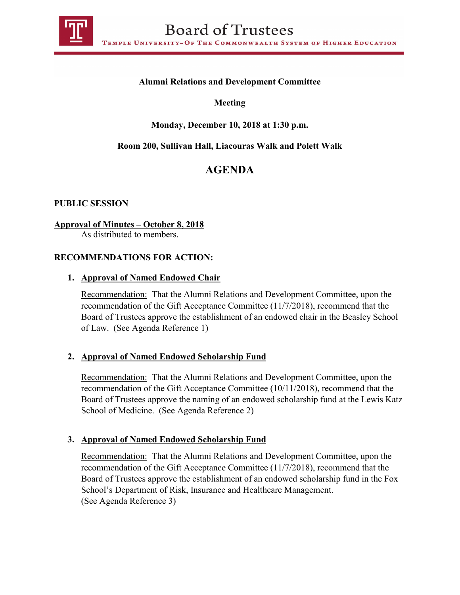

### **Alumni Relations and Development Committee**

### **Meeting**

### **Monday, December 10, 2018 at 1:30 p.m.**

#### **Room 200, Sullivan Hall, Liacouras Walk and Polett Walk**

# **AGENDA**

#### **PUBLIC SESSION**

#### **Approval of Minutes – October 8, 2018**

As distributed to members.

#### **RECOMMENDATIONS FOR ACTION:**

#### **1. Approval of Named Endowed Chair**

Recommendation: That the Alumni Relations and Development Committee, upon the recommendation of the Gift Acceptance Committee (11/7/2018), recommend that the Board of Trustees approve the establishment of an endowed chair in the Beasley School of Law. (See Agenda Reference 1)

#### **2. Approval of Named Endowed Scholarship Fund**

Recommendation: That the Alumni Relations and Development Committee, upon the recommendation of the Gift Acceptance Committee (10/11/2018), recommend that the Board of Trustees approve the naming of an endowed scholarship fund at the Lewis Katz School of Medicine. (See Agenda Reference 2)

#### **3. Approval of Named Endowed Scholarship Fund**

Recommendation: That the Alumni Relations and Development Committee, upon the recommendation of the Gift Acceptance Committee (11/7/2018), recommend that the Board of Trustees approve the establishment of an endowed scholarship fund in the Fox School's Department of Risk, Insurance and Healthcare Management. (See Agenda Reference 3)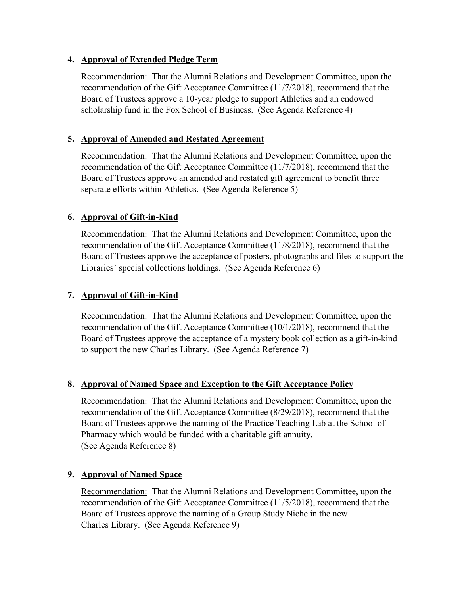### **4. Approval of Extended Pledge Term**

Recommendation: That the Alumni Relations and Development Committee, upon the recommendation of the Gift Acceptance Committee (11/7/2018), recommend that the Board of Trustees approve a 10-year pledge to support Athletics and an endowed scholarship fund in the Fox School of Business. (See Agenda Reference 4)

# **5. Approval of Amended and Restated Agreement**

Recommendation: That the Alumni Relations and Development Committee, upon the recommendation of the Gift Acceptance Committee (11/7/2018), recommend that the Board of Trustees approve an amended and restated gift agreement to benefit three separate efforts within Athletics. (See Agenda Reference 5)

# **6. Approval of Gift-in-Kind**

Recommendation: That the Alumni Relations and Development Committee, upon the recommendation of the Gift Acceptance Committee (11/8/2018), recommend that the Board of Trustees approve the acceptance of posters, photographs and files to support the Libraries' special collections holdings. (See Agenda Reference 6)

# **7. Approval of Gift-in-Kind**

Recommendation: That the Alumni Relations and Development Committee, upon the recommendation of the Gift Acceptance Committee (10/1/2018), recommend that the Board of Trustees approve the acceptance of a mystery book collection as a gift-in-kind to support the new Charles Library. (See Agenda Reference 7)

## **8. Approval of Named Space and Exception to the Gift Acceptance Policy**

Recommendation: That the Alumni Relations and Development Committee, upon the recommendation of the Gift Acceptance Committee (8/29/2018), recommend that the Board of Trustees approve the naming of the Practice Teaching Lab at the School of Pharmacy which would be funded with a charitable gift annuity. (See Agenda Reference 8)

## **9. Approval of Named Space**

Recommendation: That the Alumni Relations and Development Committee, upon the recommendation of the Gift Acceptance Committee (11/5/2018), recommend that the Board of Trustees approve the naming of a Group Study Niche in the new Charles Library. (See Agenda Reference 9)